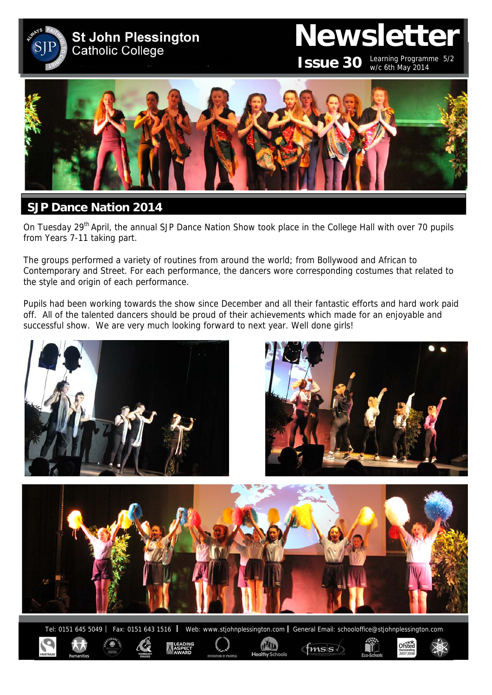

# **Newsletter**

**ISSUE 30** Learning Programme 5/2 w/c 6th May 2014

Ofsted



# **SJP Dance Nation 2014**

On Tuesday 29<sup>th</sup> April, the annual SJP Dance Nation Show took place in the College Hall with over 70 pupils from Years 7-11 taking part.

The groups performed a variety of routines from around the world; from Bollywood and African to Contemporary and Street. For each performance, the dancers wore corresponding costumes that related to the style and origin of each performance.

Pupils had been working towards the show since December and all their fantastic efforts and hard work paid off. All of the talented dancers should be proud of their achievements which made for an enjoyable and successful show. We are very much looking forward to next year. Well done girls!



ditr

 $f$ <sub>msis</sub>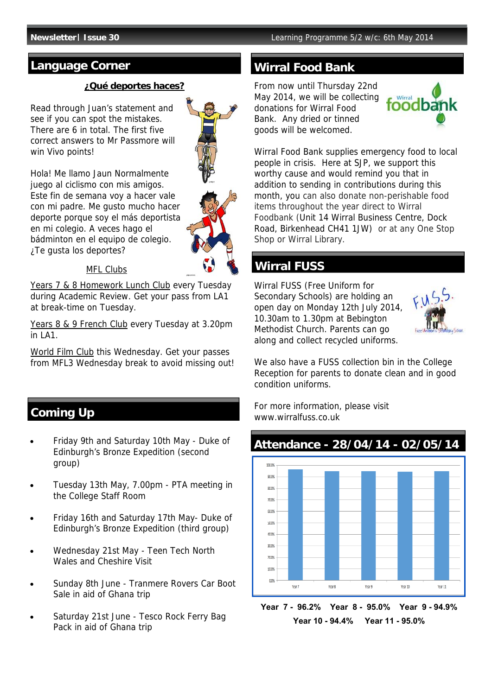# **Language Corner Wirral Food Bank**

#### **¿Qué deportes haces?**

Read through Juan's statement and see if you can spot the mistakes. There are 6 in total. The first five correct answers to Mr Passmore will win Vivo points!



Hola! Me llamo Jaun Normalmente juego al ciclismo con mis amigos. Este fin de semana voy a hacer vale con mi padre. Me gusto mucho hacer deporte porque soy el más deportista en mi colegio. A veces hago el bádminton en el equipo de colegio. ¿Te gusta los deportes?



### MFL Clubs

Years 7 & 8 Homework Lunch Club every Tuesday during Academic Review. Get your pass from LA1 at break-time on Tuesday.

Years 8 & 9 French Club every Tuesday at 3.20pm in LA1.

World Film Club this Wednesday. Get your passes from MFL3 Wednesday break to avoid missing out!

# **Coming Up**

- Friday 9th and Saturday 10th May Duke of Edinburgh's Bronze Expedition (second group)
- Tuesday 13th May, 7.00pm PTA meeting in the College Staff Room
- Friday 16th and Saturday 17th May- Duke of Edinburgh's Bronze Expedition (third group)
- Wednesday 21st May Teen Tech North Wales and Cheshire Visit
- Sunday 8th June Tranmere Rovers Car Boot Sale in aid of Ghana trip
- Saturday 21st June Tesco Rock Ferry Bag Pack in aid of Ghana trip

From now until Thursday 22nd May 2014, we will be collecting donations for Wirral Food Bank. Any dried or tinned goods will be welcomed.



Wirral Food Bank supplies emergency food to local people in crisis. Here at SJP, we support this worthy cause and would remind you that in addition to sending in contributions during this month, you can also donate non-perishable food items throughout the year direct to Wirral Foodbank (Unit 14 Wirral Business Centre, Dock Road, Birkenhead CH41 1JW) or at any One Stop Shop or Wirral Library.

# **Wirral FUSS**

Wirral FUSS (Free Uniform for Secondary Schools) are holding an open day on Monday 12th July 2014, 10.30am to 1.30pm at Bebington Methodist Church. Parents can go along and collect recycled uniforms.



We also have a FUSS collection bin in the College Reception for parents to donate clean and in good condition uniforms.

For more information, please visit www.wirralfuss.co.uk

# **Attendance - 28/04/14 - 02/05/14**



**Year 7 - 96.2% Year 8 - 95.0% Year 9 - 94.9% Year 10 - 94.4% Year 11 - 95.0%**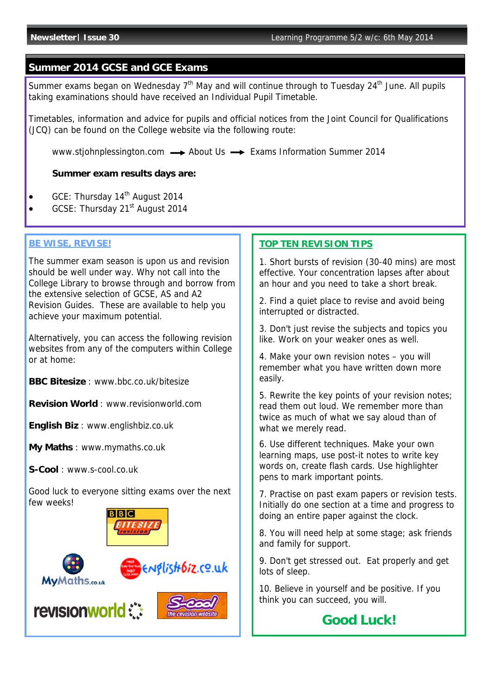#### **Summer 2014 GCSE and GCE Exams**

Summer exams began on Wednesday  $7<sup>th</sup>$  May and will continue through to Tuesday 24<sup>th</sup> June. All pupils taking examinations should have received an Individual Pupil Timetable.

Timetables, information and advice for pupils and official notices from the Joint Council for Qualifications (JCQ) can be found on the College website via the following route:

www.stjohnplessington.com  $\rightarrow$  About Us  $\rightarrow$  Exams Information Summer 2014

#### **Summer exam results days are:**

- GCE: Thursday 14<sup>th</sup> August 2014
- GCSE: Thursday 21<sup>st</sup> August 2014

#### **BE WISE, REVISE!**

The summer exam season is upon us and revision should be well under way. Why not call into the College Library to browse through and borrow from the extensive selection of GCSE, AS and A2 Revision Guides. These are available to help you achieve your maximum potential.

Alternatively, you can access the following revision websites from any of the computers within College or at home:

**BBC Bitesize** : www.bbc.co.uk/bitesize

**Revision World** : www.revisionworld.com

**English Biz** : www.englishbiz.co.uk

**My Maths** : www.mymaths.co.uk

**S-Cool** : www.s-cool.co.uk

Good luck to everyone sitting exams over the next few weeks!









9. Don't get stressed out. Eat properly and get lots of sleep.

10. Believe in yourself and be positive. If you think you can succeed, you will.

# **Good Luck!**

#### **TOP TEN REVISION TIPS**

1. Short bursts of revision (30-40 mins) are most effective. Your concentration lapses after about an hour and you need to take a short break.

2. Find a quiet place to revise and avoid being interrupted or distracted.

3. Don't just revise the subjects and topics you like. Work on your weaker ones as well.

4. Make your own revision notes – you will remember what you have written down more easily.

5. Rewrite the key points of your revision notes; read them out loud. We remember more than twice as much of what we say aloud than of what we merely read.

6. Use different techniques. Make your own learning maps, use post-it notes to write key words on, create flash cards. Use highlighter pens to mark important points.

7. Practise on past exam papers or revision tests. Initially do one section at a time and progress to doing an entire paper against the clock.

8. You will need help at some stage; ask friends and family for support.